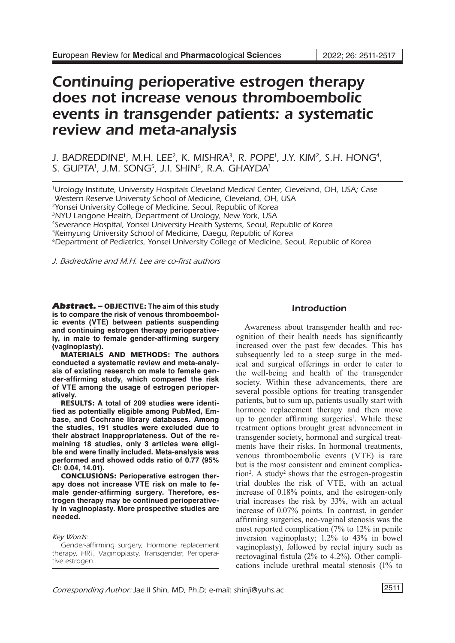# Continuing perioperative estrogen therapy does not increase venous thromboembolic events in transgender patients: a systematic review and meta-analysis

J. BADREDDINE', M.H. LEE<sup>2</sup>, K. MISHRA<sup>3</sup>, R. POPE', J.Y. KIM<sup>2</sup>, S.H. HONG<del>'</del>, S. GUPTA<sup>i</sup>, J.M. SONG<sup>5</sup>, J.I. SHIN<sup>6</sup>, R.A. GHAYDA<sup>i</sup>

1 Urology Institute, University Hospitals Cleveland Medical Center, Cleveland, OH, USA; Case Western Reserve University School of Medicine, Cleveland, OH, USA <sup>2</sup>Yonsei University College of Medicine, Seoul, Republic of Korea 3NYU Langone Health, Department of Urology, New York, USA 4Severance Hospital, Yonsei University Health Systems, Seoul, Republic of Korea <sup>5</sup>Keimyung University School of Medicine, Daegu, Republic of Korea

6Department of Pediatrics, Yonsei University College of Medicine, Seoul, Republic of Korea

*J. Badreddine and M.H. Lee are co-first authors*

Abstract. – OBJECTIVE: **The aim of this study is to compare the risk of venous thromboembolic events (VTE) between patients suspending and continuing estrogen therapy perioperatively, in male to female gender-affirming surgery (vaginoplasty).**

MATERIALS AND METHODS: **The authors conducted a systematic review and meta-analysis of existing research on male to female gender-affirming study, which compared the risk of VTE among the usage of estrogen perioperatively.**

RESULTS: **A total of 209 studies were identified as potentially eligible among PubMed, Embase, and Cochrane library databases. Among the studies, 191 studies were excluded due to their abstract inappropriateness. Out of the remaining 18 studies, only 3 articles were eligible and were finally included. Meta-analysis was performed and showed odds ratio of 0.77 (95% CI: 0.04, 14.01).** 

CONCLUSIONS: **Perioperative estrogen therapy does not increase VTE risk on male to female gender-affirming surgery. Therefore, estrogen therapy may be continued perioperatively in vaginoplasty. More prospective studies are needed.**

#### *Key Words:*

Gender-affirming surgery, Hormone replacement therapy, HRT, Vaginoplasty, Transgender, Perioperative estrogen.

## Introduction

Awareness about transgender health and recognition of their health needs has significantly increased over the past few decades. This has subsequently led to a steep surge in the medical and surgical offerings in order to cater to the well-being and health of the transgender society. Within these advancements, there are several possible options for treating transgender patients, but to sum up, patients usually start with hormone replacement therapy and then move up to gender affirming surgeries<sup>1</sup>. While these treatment options brought great advancement in transgender society, hormonal and surgical treatments have their risks. In hormonal treatments, venous thromboembolic events (VTE) is rare but is the most consistent and eminent complication<sup>2</sup>. A study<sup>2</sup> shows that the estrogen-progestin trial doubles the risk of VTE, with an actual increase of 0.18% points, and the estrogen-only trial increases the risk by 33%, with an actual increase of 0.07% points. In contrast, in gender affirming surgeries, neo-vaginal stenosis was the most reported complication (7% to 12% in penile inversion vaginoplasty; 1.2% to 43% in bowel vaginoplasty), followed by rectal injury such as rectovaginal fistula (2% to 4.2%). Other complications include urethral meatal stenosis (1% to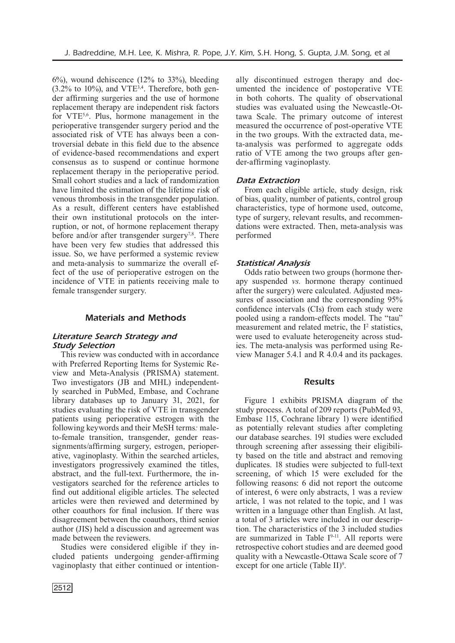6%), wound dehiscence (12% to 33%), bleeding  $(3.2\%$  to 10%), and VTE<sup>3,4</sup>. Therefore, both gender affirming surgeries and the use of hormone replacement therapy are independent risk factors for VTE<sup>5,6</sup>. Plus, hormone management in the perioperative transgender surgery period and the associated risk of VTE has always been a controversial debate in this field due to the absence of evidence-based recommendations and expert consensus as to suspend or continue hormone replacement therapy in the perioperative period. Small cohort studies and a lack of randomization have limited the estimation of the lifetime risk of venous thrombosis in the transgender population. As a result, different centers have established their own institutional protocols on the interruption, or not, of hormone replacement therapy before and/or after transgender surgery<sup>7,8</sup>. There have been very few studies that addressed this issue. So, we have performed a systemic review and meta-analysis to summarize the overall effect of the use of perioperative estrogen on the incidence of VTE in patients receiving male to female transgender surgery.

# Materials and Methods

# *Literature Search Strategy and Study Selection*

This review was conducted with in accordance with Preferred Reporting Items for Systemic Review and Meta-Analysis (PRISMA) statement. Two investigators (JB and MHL) independently searched in PubMed, Embase, and Cochrane library databases up to January 31, 2021, for studies evaluating the risk of VTE in transgender patients using perioperative estrogen with the following keywords and their MeSH terms*:* maleto-female transition, transgender, gender reassignments/affirming surgery, estrogen, perioperative, vaginoplasty. Within the searched articles, investigators progressively examined the titles, abstract, and the full-text. Furthermore, the investigators searched for the reference articles to find out additional eligible articles. The selected articles were then reviewed and determined by other coauthors for final inclusion. If there was disagreement between the coauthors, third senior author (JIS) held a discussion and agreement was made between the reviewers.

Studies were considered eligible if they included patients undergoing gender-affirming vaginoplasty that either continued or intentionally discontinued estrogen therapy and documented the incidence of postoperative VTE in both cohorts. The quality of observational studies was evaluated using the Newcastle-Ottawa Scale. The primary outcome of interest measured the occurrence of post-operative VTE in the two groups. With the extracted data, meta-analysis was performed to aggregate odds ratio of VTE among the two groups after gender-affirming vaginoplasty.

# *Data Extraction*

From each eligible article, study design, risk of bias, quality, number of patients, control group characteristics, type of hormone used, outcome, type of surgery, relevant results, and recommendations were extracted. Then, meta-analysis was performed

# *Statistical Analysis*

Odds ratio between two groups (hormone therapy suspended *vs.* hormone therapy continued after the surgery) were calculated. Adjusted measures of association and the corresponding 95% confidence intervals (CIs) from each study were pooled using a random-effects model. The "tau" measurement and related metric, the  $I<sup>2</sup>$  statistics, were used to evaluate heterogeneity across studies. The meta-analysis was performed using Review Manager 5.4.1 and R 4.0.4 and its packages.

## Results

Figure 1 exhibits PRISMA diagram of the study process. A total of 209 reports (PubMed 93, Embase 115, Cochrane library 1) were identified as potentially relevant studies after completing our database searches. 191 studies were excluded through screening after assessing their eligibility based on the title and abstract and removing duplicates. 18 studies were subjected to full-text screening, of which 15 were excluded for the following reasons: 6 did not report the outcome of interest, 6 were only abstracts, 1 was a review article, 1 was not related to the topic, and 1 was written in a language other than English. At last, a total of 3 articles were included in our description. The characteristics of the 3 included studies are summarized in Table  $I^{9-11}$ . All reports were retrospective cohort studies and are deemed good quality with a Newcastle-Ottawa Scale score of 7 except for one article (Table II)<sup>9</sup>.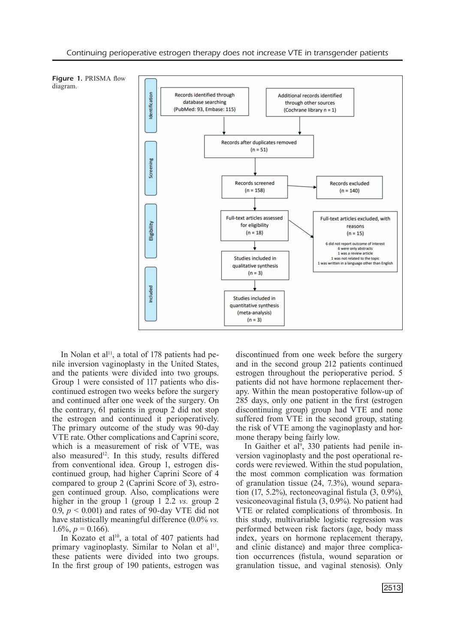

In Nolan et al<sup>11</sup>, a total of 178 patients had penile inversion vaginoplasty in the United States, and the patients were divided into two groups. Group 1 were consisted of 117 patients who discontinued estrogen two weeks before the surgery and continued after one week of the surgery. On the contrary, 61 patients in group 2 did not stop the estrogen and continued it perioperatively. The primary outcome of the study was 90-day VTE rate. Other complications and Caprini score, which is a measurement of risk of VTE, was also measured<sup>12</sup>. In this study, results differed from conventional idea. Group 1, estrogen discontinued group, had higher Caprini Score of 4 compared to group 2 (Caprini Score of 3), estrogen continued group. Also, complications were higher in the group 1 (group 1 2.2 *vs.* group 2 0.9,  $p < 0.001$ ) and rates of 90-day VTE did not have statistically meaningful difference (0.0% *vs.* 1.6%,  $p = 0.166$ ).

In Kozato et al<sup>10</sup>, a total of 407 patients had primary vaginoplasty. Similar to Nolan et al<sup>11</sup>, these patients were divided into two groups. In the first group of 190 patients, estrogen was discontinued from one week before the surgery and in the second group 212 patients continued estrogen throughout the perioperative period. 5 patients did not have hormone replacement therapy. Within the mean postoperative follow-up of 285 days, only one patient in the first (estrogen discontinuing group) group had VTE and none suffered from VTE in the second group, stating the risk of VTE among the vaginoplasty and hormone therapy being fairly low.

In Gaither et al<sup>9</sup>, 330 patients had penile inversion vaginoplasty and the post operational records were reviewed. Within the stud population, the most common complication was formation of granulation tissue  $(24, 7.3\%)$ , wound separation (17, 5.2%), rectoneovaginal fistula  $(3, 0.9\%)$ , vesiconeovaginal fistula (3, 0.9%). No patient had VTE or related complications of thrombosis. In this study, multivariable logistic regression was performed between risk factors (age, body mass index, years on hormone replacement therapy, and clinic distance) and major three complication occurrences (fistula, wound separation or granulation tissue, and vaginal stenosis). Only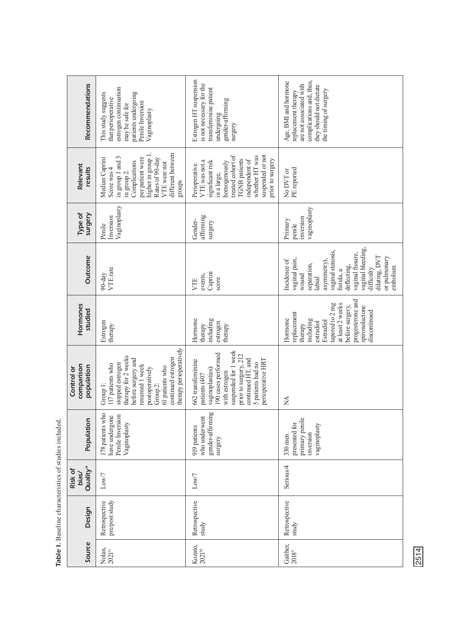| Recommendations                        | estrogen continuation<br>patients undergoing<br>This study suggests<br>that perioperative<br>Penile Inversion<br>may be safe for<br>Vaginoplasty                                                                   | Estrogen HT suspension<br>is not necessary for the<br>transfeminine patient<br>gender-affirming<br>undergoing<br>surgery                                                                                       | complications and, thus,<br>Age, BMI and hormone<br>are not associated with<br>they should not dictate<br>the timing of surgery<br>replacement therapy                                                                               |
|----------------------------------------|--------------------------------------------------------------------------------------------------------------------------------------------------------------------------------------------------------------------|----------------------------------------------------------------------------------------------------------------------------------------------------------------------------------------------------------------|--------------------------------------------------------------------------------------------------------------------------------------------------------------------------------------------------------------------------------------|
| Relevant<br>results                    | different between<br>higher in group 1<br>in group 1 and 3<br>Median Caprini<br>per patient were<br>Rates of 90-day<br>Complications<br>VTE were not<br>Score was 4<br>in group 2.<br>groups                       | suspended or not<br>treated cohort of<br>whether HT was<br>prior to surgery<br><b>TGNB</b> patients<br>independent of<br>VTE was not a<br>significant risk<br>homogenously<br>Perioperative<br>in a large,     | PE reported<br>No DVT or                                                                                                                                                                                                             |
| Type of<br>surgery                     | Vaginoplasty<br>Inversion<br>Penile                                                                                                                                                                                | affirming<br>Gender-<br>surgery                                                                                                                                                                                | vaginoplasty<br>inversion<br>Primary<br>penile                                                                                                                                                                                       |
| Outcome                                | VTE rate<br>$90-day$                                                                                                                                                                                               | Caprini<br>events,<br>score<br>VTE                                                                                                                                                                             | vaginal bleeding.<br>vaginal stenosis,<br>vaginal fissure,<br>dilating, DVT<br>or pulmonary<br>vaginal pain,<br>asymmetry),<br>Incidence of<br>separation,<br>deflecting,<br>embolism<br>difficulty<br>fistula, a<br>wound<br>labial |
| Hormones<br>studied                    | Estrogen<br>therapy                                                                                                                                                                                                | including<br>Hormone<br>estrogen<br>therapy<br>therapy                                                                                                                                                         | progesterone and<br>tapered to 2 mg<br>at least 2 weeks<br>before surgery,<br>spironolactone<br>discontinued<br>replacement<br>Hormone<br>including<br>Estradiol<br>estradiol<br>therapy                                             |
| comparison<br>population<br>Control or | therapy perioperatively<br>therapy for 2 weeks<br>continued estrogen<br>before surgery and<br>stopped estrogen<br>117 patients who<br>resumed 1 week<br>61 patients who<br>postoperatively<br>Group 2:<br>Group 1: | suspended for 1 week<br>190 cases performed<br>prior to surgery, 212<br>continued HT, and<br>perioperative HRT<br>662 transfeminine<br>5 patients had no<br>vaginoplasties):<br>with estrogen<br>patients (407 | $\sum_{i=1}^{n}$                                                                                                                                                                                                                     |
| Population                             | 178 patients who<br>Penile Inversion<br>have undergone<br>Vaginoplasty                                                                                                                                             | gender-affirming<br>who underwent<br>919 patients<br>surgery                                                                                                                                                   | primary penile<br>presented for<br>vaginoplasty<br>inversion<br>$330$ men                                                                                                                                                            |
| Quality*<br>Risk of<br>bias/           | $_{\rm Low/7}$                                                                                                                                                                                                     | Low/7                                                                                                                                                                                                          | Serious/4                                                                                                                                                                                                                            |
| Design                                 | pre/post study<br>Retrospective                                                                                                                                                                                    | Retrospective<br>study                                                                                                                                                                                         | Retrospective<br>study                                                                                                                                                                                                               |
| Source                                 | $\frac{\text{Nolan}}{2021^{11}}$                                                                                                                                                                                   | Kozato, $2021^{\text{10}}$                                                                                                                                                                                     | Gaither,<br>2018 <sup>9</sup>                                                                                                                                                                                                        |

Table I. Baseline characteristics of studies included. Baseline characteristics of studies included.

2514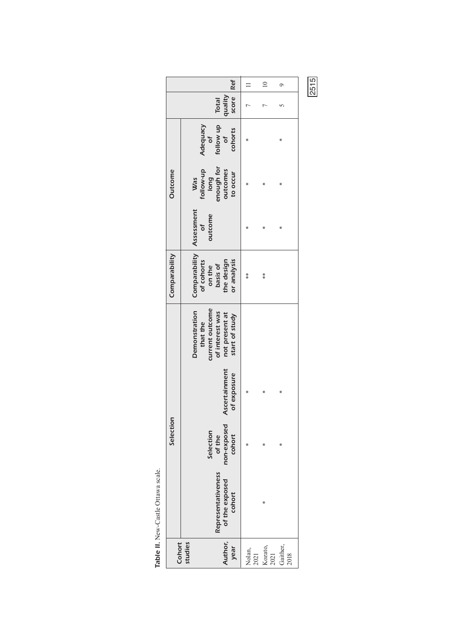|                |                                                                                                     | $\Box$         | $\supseteq$     | $\circ$          |
|----------------|-----------------------------------------------------------------------------------------------------|----------------|-----------------|------------------|
|                | score   Ref<br>quality<br>Total                                                                     |                |                 |                  |
| <b>Outcome</b> | follow up<br>Adequacy<br>cohorts<br>$\overline{\mathsf{d}}$<br>$\sigma$                             |                |                 | ⋇                |
|                | enough for<br>follow-up<br>long<br>outcomes<br>to occur<br>Was                                      |                | ¥               | ⋇                |
|                | Assessment<br>outcome<br>ð                                                                          |                | ⋇               | ∗                |
| Comparability  | Comparability<br>of cohorts<br>or analysis<br>the design<br>basis of<br>on the                      | $*$            | $\frac{*}{*}$   |                  |
| Selection      | current outcome<br>Demonstration<br>of interest was<br>not present at<br>start of study<br>that the |                |                 |                  |
|                | <b>Ascertainment</b><br>of exposure                                                                 |                | ¥               | ⋇                |
|                | non-exposed<br>Selection<br>cohort<br>of the                                                        | ÷              |                 |                  |
|                | Representativeness<br>of the exposed<br>cohort                                                      |                | ⋇               |                  |
| Cohort         | Author,<br>studies<br>year                                                                          | Nolan,<br>2021 | Kozato,<br>2021 | Gaither,<br>2018 |

2515

| i |  |
|---|--|
|   |  |
| ۱ |  |
|   |  |
|   |  |
| ı |  |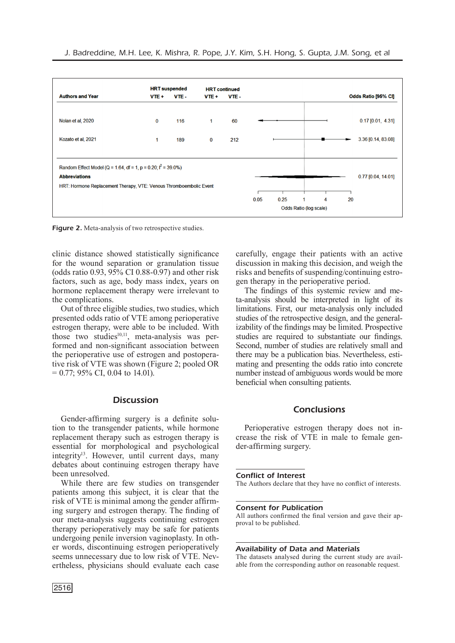|                                                                    | <b>HRT</b> suspended |      | <b>HRT</b> continued |      |      |      |    |   |    |                      |
|--------------------------------------------------------------------|----------------------|------|----------------------|------|------|------|----|---|----|----------------------|
| <b>Authors and Year</b>                                            | VTE +                | VTE- | VTE +                | VTE- |      |      |    |   |    | Odds Ratio [95% CI]  |
|                                                                    |                      |      |                      |      |      |      |    |   |    |                      |
| Nolan et al, 2020                                                  | $\bf{0}$             | 116  | 1                    | 60   |      |      |    |   |    | $0.17$ [0.01, 4.31]  |
| Kozato et al, 2021                                                 | 1                    | 189  | 0                    | 212  |      |      |    |   |    | 3.36 [0.14, 83.08]   |
| Random Effect Model (Q = 1.64, df = 1, p = 0.20; $I^2$ = 39.0%)    |                      |      |                      |      |      |      |    |   |    |                      |
|                                                                    |                      |      |                      |      |      |      |    |   |    |                      |
|                                                                    |                      |      |                      |      |      |      |    |   |    |                      |
| <b>Abbreviations</b>                                               |                      |      |                      |      |      |      |    |   |    | $0.77$ [0.04, 14.01] |
| HRT: Hormone Replacement Therapy, VTE: Venous Thromboembolic Event |                      |      |                      |      |      |      |    |   |    |                      |
|                                                                    |                      |      |                      |      | 0.05 | 0.25 | -1 | 4 | 20 |                      |

Figure 2. Meta-analysis of two retrospective studies.

clinic distance showed statistically significance for the wound separation or granulation tissue (odds ratio 0.93, 95% CI 0.88-0.97) and other risk factors, such as age, body mass index, years on hormone replacement therapy were irrelevant to the complications.

Out of three eligible studies, two studies, which presented odds ratio of VTE among perioperative estrogen therapy, were able to be included. With those two studies $^{10,11}$ , meta-analysis was performed and non-significant association between the perioperative use of estrogen and postoperative risk of VTE was shown (Figure 2; pooled OR  $= 0.77$ ; 95% CI, 0.04 to 14.01).

# **Discussion**

Gender-affirming surgery is a definite solution to the transgender patients, while hormone replacement therapy such as estrogen therapy is essential for morphological and psychological integrity<sup>13</sup>. However, until current days, many debates about continuing estrogen therapy have been unresolved.

While there are few studies on transgender patients among this subject, it is clear that the risk of VTE is minimal among the gender affirming surgery and estrogen therapy. The finding of our meta-analysis suggests continuing estrogen therapy perioperatively may be safe for patients undergoing penile inversion vaginoplasty. In other words, discontinuing estrogen perioperatively seems unnecessary due to low risk of VTE. Nevertheless, physicians should evaluate each case carefully, engage their patients with an active discussion in making this decision, and weigh the risks and benefits of suspending/continuing estrogen therapy in the perioperative period.

The findings of this systemic review and meta-analysis should be interpreted in light of its limitations. First, our meta-analysis only included studies of the retrospective design, and the generalizability of the findings may be limited. Prospective studies are required to substantiate our findings. Second, number of studies are relatively small and there may be a publication bias. Nevertheless, estimating and presenting the odds ratio into concrete number instead of ambiguous words would be more beneficial when consulting patients.

## Conclusions

Perioperative estrogen therapy does not increase the risk of VTE in male to female gender-affirming surgery.

#### Conflict of Interest

The Authors declare that they have no conflict of interests.

#### Consent for Publication

All authors confirmed the final version and gave their approval to be published.

#### Availability of Data and Materials

The datasets analysed during the current study are available from the corresponding author on reasonable request.